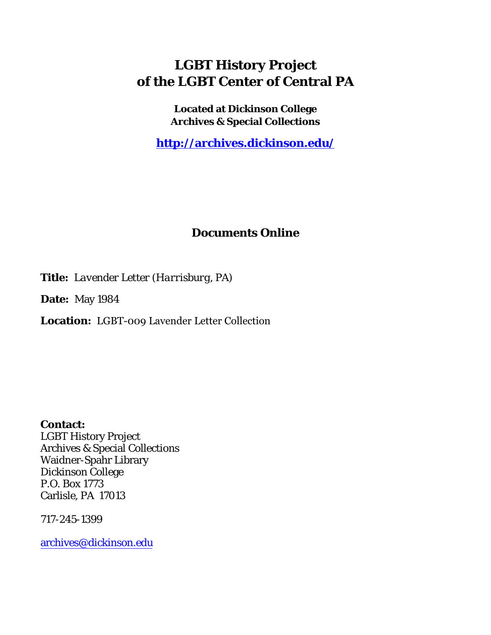## **LGBT History Project of the LGBT Center of Central PA**

**Located at Dickinson College Archives & Special Collections**

**<http://archives.dickinson.edu/>**

## **Documents Online**

**Title:** *Lavender Letter (Harrisburg, PA)*

**Date:** May 1984

**Location:** LGBT-009 Lavender Letter Collection

**Contact:**  LGBT History Project Archives & Special Collections Waidner-Spahr Library Dickinson College P.O. Box 1773 Carlisle, PA 17013

717-245-1399

[archives@dickinson.edu](mailto:archives@dickinson.edu)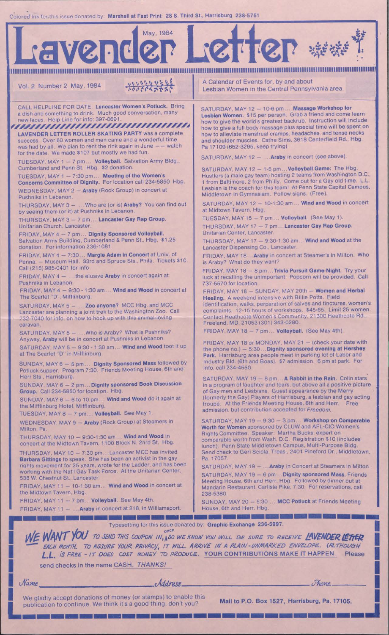Colored Ink for this issue donated by: Marshall at Fast Print 28 S. Third St., Harrisburg 238-5751



*]fje iriW'/ou TO SEND TWS COUPON IN,f^SO WE KNOW YOU WILL BE SURE TO RECEIVE IWENDERl&ftW*

*EACH MOUTH. TO ASSURE YOUR. RR/l/Acy, IT WILL ARRIVE IN A PLAIN- UNMARKED ENVELOPE.. (ALTHOUGH L.L. is FREE - IT DOES COST MONEY TO PRODUCE.* YOUR CONTRIBUTIONS MAKE IT HAPPEN. Please

send checks in the name CASH. *THANKS!*

**I**

*Address Phone*.

**L**  $Name$   $\overline{\mathcal{A}d\mathcal{A}r\mathcal{L}}$ <br>We gladly accept donations of money (or stamps) to enable this Mail to P.O. Box 1527, Harrisburg, Pa. 17105. publication to continue. We think it's a good thing, don't you?

**I**

**J**